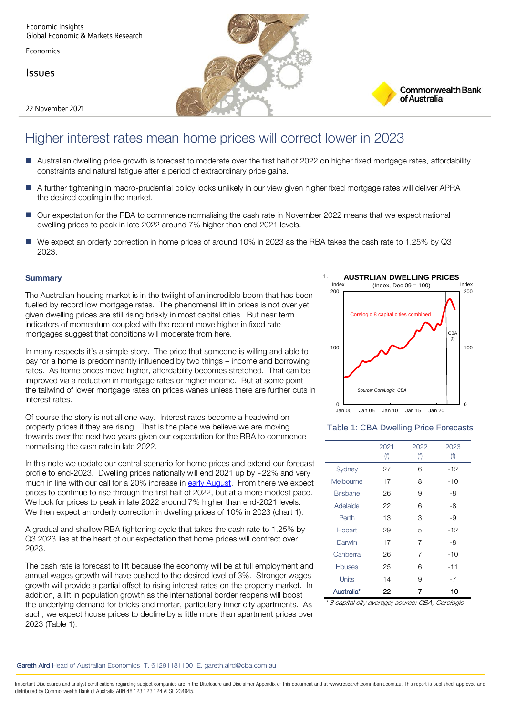**Economic Insights** Global Economic & Markets Research

Economics

**Issues** 

22 November 2021





# Higher interest rates mean home prices will correct lower in 2023

- Australian dwelling price growth is forecast to moderate over the first half of 2022 on higher fixed mortgage rates, affordability constraints and natural fatigue after a period of extraordinary price gains.
- A further tightening in macro-prudential policy looks unlikely in our view given higher fixed mortgage rates will deliver APRA the desired cooling in the market.
- Our expectation for the RBA to commence normalising the cash rate in November 2022 means that we expect national dwelling prices to peak in late 2022 around 7% higher than end-2021 levels.
- We expect an orderly correction in home prices of around 10% in 2023 as the RBA takes the cash rate to 1.25% by Q3 2023.

# **Summary**

The Australian housing market is in the twilight of an incredible boom that has been fuelled by record low mortgage rates. The phenomenal lift in prices is not over yet given dwelling prices are still rising briskly in most capital cities. But near term indicators of momentum coupled with the recent move higher in fixed rate mortgages suggest that conditions will moderate from here.

In many respects it's a simple story. The price that someone is willing and able to pay for a home is predominantly influenced by two things – income and borrowing rates. As home prices move higher, affordability becomes stretched. That can be improved via a reduction in mortgage rates or higher income. But at some point the tailwind of lower mortgage rates on prices wanes unless there are further cuts in interest rates.

Of course the story is not all one way. Interest rates become a headwind on property prices if they are rising. That is the place we believe we are moving towards over the next two years given our expectation for the RBA to commence normalising the cash rate in late 2022.

In this note we update our central scenario for home prices and extend our forecast profile to end-2023. Dwelling prices nationally will end 2021 up by ~22% and very much in line with our call for a 20% increase in [early August.](https://www.commbankresearch.com.au/apex/ResearchArticleViewV2?id=a0N4y00000jgozSEAQ&un=gareth.aird@cba.com.au&tk=YTBONHkwMDAwMGpnb3pTRUFROmdhcmV0aC5haXJkQGNiYS5jb20uYXU=) From there we expect prices to continue to rise through the first half of 2022, but at a more modest pace. We look for prices to peak in late 2022 around 7% higher than end-2021 levels. We then expect an orderly correction in dwelling prices of 10% in 2023 (chart 1).

A gradual and shallow RBA tightening cycle that takes the cash rate to 1.25% by Q3 2023 lies at the heart of our expectation that home prices will contract over 2023.

The cash rate is forecast to lift because the economy will be at full employment and annual wages growth will have pushed to the desired level of 3%. Stronger wages growth will provide a partial offset to rising interest rates on the property market. In addition, a lift in population growth as the international border reopens will boost the underlying demand for bricks and mortar, particularly inner city apartments. As such, we expect house prices to decline by a little more than apartment prices over 2023 (Table 1).



# Table 1: CBA Dwelling Price Forecasts

|                 | 2021<br>(f) | 2022<br>(f) | 2023<br>(f) |
|-----------------|-------------|-------------|-------------|
| Sydney          | 27          | 6           | -12         |
| Melbourne       | 17          | 8           | $-10$       |
| <b>Brisbane</b> | 26          | 9           | -8          |
| Adelaide        | 22          | 6           | -8          |
| Perth           | 13          | 3           | -9          |
| Hobart          | 29          | 5           | $-12$       |
| Darwin          | 17          | 7           | -8          |
| Canberra        | 26          | 7           | $-10$       |
| <b>Houses</b>   | 25          | 6           | -11         |
| Units           | 14          | 9           | $-7$        |
| Australia*      | 22          | 7           | -10         |

\* 8 capital city average; source: CBA, Corelogic

#### Gareth Aird Head of Australian Economics T. 61291181100 E. gareth.aird@cba.com.au

Important Disclosures and analyst certifications regarding subject companies are in the Disclosure and Disclaimer Appendix of this document and at www.research.commbank.com.au. This report is published, approved and distributed by Commonwealth Bank of Australia ABN 48 123 123 124 AFSL 234945.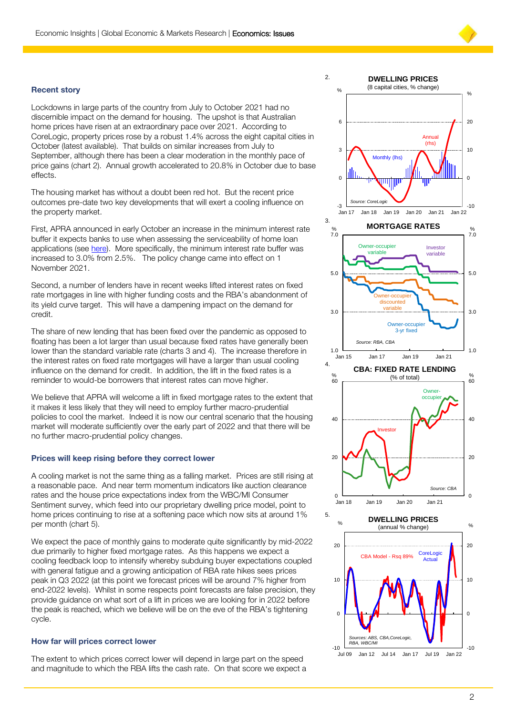$\mathfrak{D}$ 

# **Recent story**

Lockdowns in large parts of the country from July to October 2021 had no discernible impact on the demand for housing. The upshot is that Australian home prices have risen at an extraordinary pace over 2021. According to CoreLogic, property prices rose by a robust 1.4% across the eight capital cities in October (latest available). That builds on similar increases from July to September, although there has been a clear moderation in the monthly pace of price gains (chart 2). Annual growth accelerated to 20.8% in October due to base effects.

The housing market has without a doubt been red hot. But the recent price outcomes pre-date two key developments that will exert a cooling influence on the property market.

First, APRA announced in early October an increase in the minimum interest rate buffer it expects banks to use when assessing the serviceability of home loan applications (see [here\).](https://www.commbankresearch.com.au/apex/ResearchArticleViewV2?id=a0N4y00000liwSsEAI&un=gareth.aird@cba.com.au&tk=YTBONHkwMDAwMGxpd1NzRUFJOmdhcmV0aC5haXJkQGNiYS5jb20uYXU=) More specifically, the minimum interest rate buffer was increased to 3.0% from 2.5%. The policy change came into effect on 1 November 2021.

Second, a number of lenders have in recent weeks lifted interest rates on fixed rate mortgages in line with higher funding costs and the RBA's abandonment of its yield curve target. This will have a dampening impact on the demand for credit.

The share of new lending that has been fixed over the pandemic as opposed to floating has been a lot larger than usual because fixed rates have generally been lower than the standard variable rate (charts 3 and 4). The increase therefore in the interest rates on fixed rate mortgages will have a larger than usual cooling influence on the demand for credit. In addition, the lift in the fixed rates is a reminder to would-be borrowers that interest rates can move higher.

We believe that APRA will welcome a lift in fixed mortgage rates to the extent that it makes it less likely that they will need to employ further macro-prudential policies to cool the market. Indeed it is now our central scenario that the housing market will moderate sufficiently over the early part of 2022 and that there will be no further macro-prudential policy changes.

# **Prices will keep rising before they correct lower**

A cooling market is not the same thing as a falling market. Prices are still rising at a reasonable pace. And near term momentum indicators like auction clearance rates and the house price expectations index from the WBC/MI Consumer Sentiment survey, which feed into our proprietary dwelling price model, point to home prices continuing to rise at a softening pace which now sits at around 1% per month (chart 5).

We expect the pace of monthly gains to moderate quite significantly by mid-2022 due primarily to higher fixed mortgage rates. As this happens we expect a cooling feedback loop to intensify whereby subduing buyer expectations coupled with general fatigue and a growing anticipation of RBA rate hikes sees prices peak in Q3 2022 (at this point we forecast prices will be around 7% higher from end-2022 levels). Whilst in some respects point forecasts are false precision, they provide guidance on what sort of a lift in prices we are looking for in 2022 before the peak is reached, which we believe will be on the eve of the RBA's tightening cycle.

#### **How far will prices correct lower**

The extent to which prices correct lower will depend in large part on the speed and magnitude to which the RBA lifts the cash rate. On that score we expect a



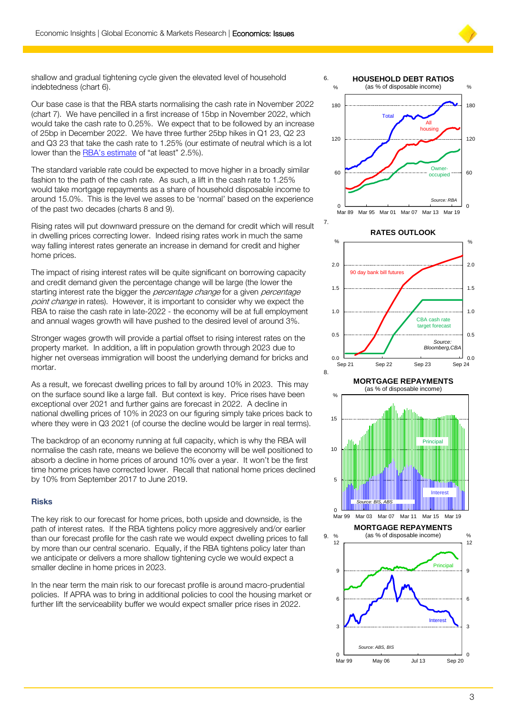

shallow and gradual tightening cycle given the elevated level of household indebtedness (chart 6).

Our base case is that the RBA starts normalising the cash rate in November 2022 (chart 7). We have pencilled in a first increase of 15bp in November 2022, which would take the cash rate to 0.25%. We expect that to be followed by an increase of 25bp in December 2022. We have three further 25bp hikes in Q1 23, Q2 23 and Q3 23 that take the cash rate to 1.25% (our estimate of neutral which is a lot lower than the [RBA's estimate](https://bcove.video/3CnfvrQ) of "at least" 2.5%).

The standard variable rate could be expected to move higher in a broadly similar fashion to the path of the cash rate. As such, a lift in the cash rate to 1.25% would take mortgage repayments as a share of household disposable income to around 15.0%. This is the level we asses to be 'normal' based on the experience of the past two decades (charts 8 and 9).

Rising rates will put downward pressure on the demand for credit which will result in dwelling prices correcting lower. Indeed rising rates work in much the same way falling interest rates generate an increase in demand for credit and higher home prices.

The impact of rising interest rates will be quite significant on borrowing capacity and credit demand given the percentage change will be large (the lower the starting interest rate the bigger the *percentage change* for a given *percentage* point change in rates). However, it is important to consider why we expect the RBA to raise the cash rate in late-2022 - the economy will be at full employment and annual wages growth will have pushed to the desired level of around 3%.

Stronger wages growth will provide a partial offset to rising interest rates on the property market. In addition, a lift in population growth through 2023 due to higher net overseas immigration will boost the underlying demand for bricks and mortar.

As a result, we forecast dwelling prices to fall by around 10% in 2023. This may on the surface sound like a large fall. But context is key. Price rises have been exceptional over 2021 and further gains are forecast in 2022. A decline in national dwelling prices of 10% in 2023 on our figuring simply take prices back to where they were in Q3 2021 (of course the decline would be larger in real terms).

The backdrop of an economy running at full capacity, which is why the RBA will normalise the cash rate, means we believe the economy will be well positioned to absorb a decline in home prices of around 10% over a year. It won't be the first time home prices have corrected lower. Recall that national home prices declined by 10% from September 2017 to June 2019.

# **Risks**

The key risk to our forecast for home prices, both upside and downside, is the path of interest rates. If the RBA tightens policy more aggresively and/or earlier than our forecast profile for the cash rate we would expect dwelling prices to fall by more than our central scenario. Equally, if the RBA tightens policy later than we anticipate or delivers a more shallow tightening cycle we would expect a smaller decline in home prices in 2023.

In the near term the main risk to our forecast profile is around macro-prudential policies. If APRA was to bring in additional policies to cool the housing market or further lift the serviceability buffer we would expect smaller price rises in 2022.





(as % of disposable income)



**MORTGAGE REPAYMENTS**

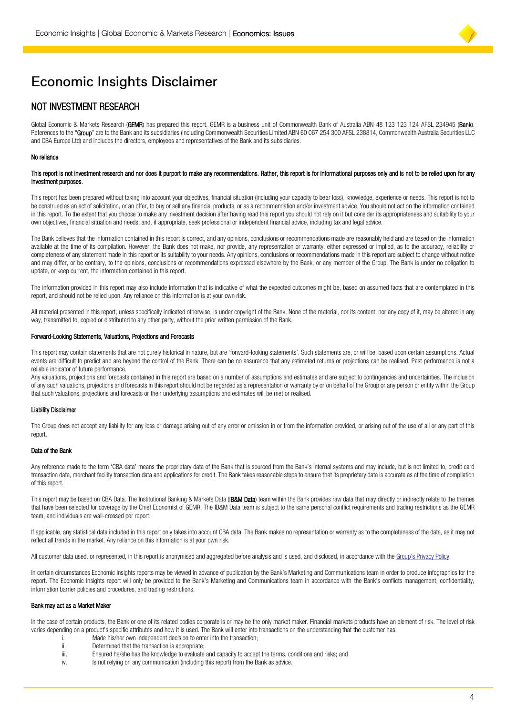

# **Economic Insights Disclaimer**

# NOT INVESTMENT RESEARCH

Global Economic & Markets Research (GEMR) has prepared this report. GEMR is a business unit of Commonwealth Bank of Australia ABN 48 123 123 124 AFSL 234945 (Bank). References to the "Group" are to the Bank and its subsidiaries (including Commonwealth Securities Limited ABN 60 067 254 300 AFSL 238814, Commonwealth Australia Securities LLC and CBA Europe Ltd) and includes the directors, employees and representatives of the Bank and its subsidiaries.

#### No reliance

#### This report is not investment research and nor does it purport to make any recommendations. Rather, this report is for informational purposes only and is not to be relied upon for any investment purposes.

This report has been prepared without taking into account your objectives, financial situation (including your capacity to bear loss), knowledge, experience or needs. This report is not to be construed as an act of solicitation, or an offer, to buy or sell any financial products, or as a recommendation and/or investment advice. You should not act on the information contained in this report. To the extent that you choose to make any investment decision after having read this report you should not rely on it but consider its appropriateness and suitability to your own objectives, financial situation and needs, and, if appropriate, seek professional or independent financial advice, including tax and legal advice.

The Bank believes that the information contained in this report is correct, and any opinions, conclusions or recommendations made are reasonably held and are based on the information available at the time of its compilation. However, the Bank does not make, nor provide, any representation or warranty, either expressed or implied, as to the accuracy, reliability or completeness of any statement made in this report or its suitability to your needs. Any opinions, conclusions or recommendations made in this report are subject to change without notice and may differ, or be contrary, to the opinions, conclusions or recommendations expressed elsewhere by the Bank, or any member of the Group. The Bank is under no obligation to update, or keep current, the information contained in this report.

The information provided in this report may also include information that is indicative of what the expected outcomes might be, based on assumed facts that are contemplated in this report, and should not be relied upon. Any reliance on this information is at your own risk.

All material presented in this report, unless specifically indicated otherwise, is under copyright of the Bank. None of the material, nor its content, nor any copy of it, may be altered in any way, transmitted to, copied or distributed to any other party, without the prior written permission of the Bank.

#### Forward-Looking Statements, Valuations, Projections and Forecasts

This report may contain statements that are not purely historical in nature, but are 'forward-looking statements'. Such statements are, or will be, based upon certain assumptions. Actual events are difficult to predict and are beyond the control of the Bank. There can be no assurance that any estimated returns or projections can be realised. Past performance is not a reliable indicator of future performance.

Any valuations, projections and forecasts contained in this report are based on a number of assumptions and estimates and are subject to contingencies and uncertainties. The inclusion of any such valuations, projections and forecasts in this report should not be regarded as a representation or warranty by or on behalf of the Group or any person or entity within the Group that such valuations, projections and forecasts or their underlying assumptions and estimates will be met or realised.

#### Liability Disclaimer

The Group does not accept any liability for any loss or damage arising out of any error or omission in or from the information provided, or arising out of the use of all or any part of this report.

#### Data of the Bank

Any reference made to the term 'CBA data' means the proprietary data of the Bank that is sourced from the Bank's internal systems and may include, but is not limited to, credit card transaction data, merchant facility transaction data and applications for credit. The Bank takes reasonable steps to ensure that its proprietary data is accurate as at the time of compilation of this report.

This report may be based on CBA Data. The Institutional Banking & Markets Data (IB&M Data) team within the Bank provides raw data that may directly or indirectly relate to the themes that have been selected for coverage by the Chief Economist of GEMR. The IB&M Data team is subject to the same personal conflict requirements and trading restrictions as the GEMR team, and individuals are wall-crossed per report.

If applicable, any statistical data included in this report only takes into account CBA data. The Bank makes no representation or warranty as to the completeness of the data, as it may not reflect all trends in the market. Any reliance on this information is at your own risk.

All customer data used, or represented, in this report is anonymised and aggregated before analysis and is used, and disclosed, in accordance with the [Group's Privacy Policy](https://www.commbank.com.au/support/privacy/privacy-policy.html).

In certain circumstances Economic Insights reports may be viewed in advance of publication by the Bank's Marketing and Communications team in order to produce infographics for the report. The Economic Insights report will only be provided to the Bank's Marketing and Communications team in accordance with the Bank's conflicts management, confidentiality, information barrier policies and procedures, and trading restrictions.

#### Bank may act as a Market Maker

In the case of certain products, the Bank or one of its related bodies corporate is or may be the only market maker. Financial markets products have an element of risk. The level of risk varies depending on a product's specific attributes and how it is used. The Bank will enter into transactions on the understanding that the customer has:

- i. Made his/her own independent decision to enter into the transaction;<br>ii. Determined that the transaction is appropriate;
- Determined that the transaction is appropriate;
- iii. Ensured he/she has the knowledge to evaluate and capacity to accept the terms, conditions and risks; and<br>iv. Short relying on any communication (including this report) from the Bank as advice.
- Is not relying on any communication (including this report) from the Bank as advice.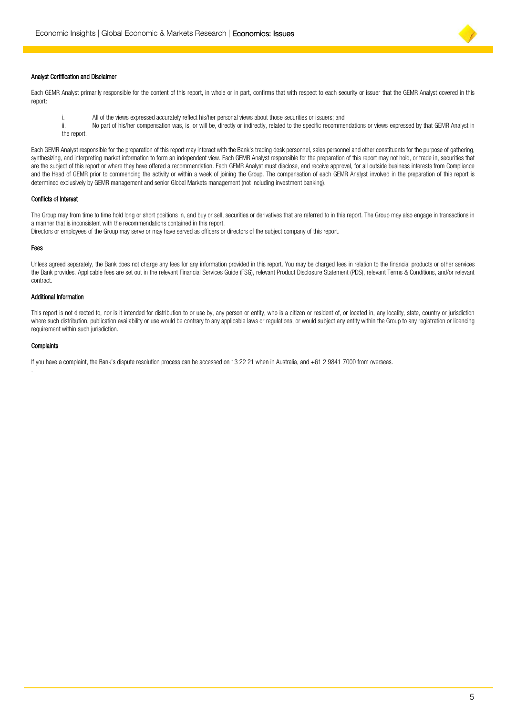

#### Analyst Certification and Disclaimer

Each GEMR Analyst primarily responsible for the content of this report, in whole or in part, confirms that with respect to each security or issuer that the GEMR Analyst covered in this report:

i. All of the views expressed accurately reflect his/her personal views about those securities or issuers; and<br>ii No part of his/her compensation was is or will be directly or indirectly related to the specific recomme No part of his/her compensation was, is, or will be, directly or indirectly, related to the specific recommendations or views expressed by that GEMR Analyst in the report.

Each GEMR Analyst responsible for the preparation of this report may interact with the Bank's trading desk personnel, sales personnel and other constituents for the purpose of gathering, synthesizing, and interpreting market information to form an independent view. Each GEMR Analyst responsible for the preparation of this report may not hold, or trade in, securities that are the subject of this report or where they have offered a recommendation. Each GEMR Analyst must disclose, and receive approval, for all outside business interests from Compliance and the Head of GEMR prior to commencing the activity or within a week of joining the Group. The compensation of each GEMR Analyst involved in the preparation of this report is determined exclusively by GEMR management and senior Global Markets management (not including investment banking).

### Conflicts of Interest

The Group may from time to time hold long or short positions in, and buy or sell, securities or derivatives that are referred to in this report. The Group may also engage in transactions in a manner that is inconsistent with the recommendations contained in this report. Directors or employees of the Group may serve or may have served as officers or directors of the subject company of this report.

Fees

Unless agreed separately, the Bank does not charge any fees for any information provided in this report. You may be charged fees in relation to the financial products or other services the Bank provides. Applicable fees are set out in the relevant Financial Services Guide (FSG), relevant Product Disclosure Statement (PDS), relevant Terms & Conditions, and/or relevant contract.

#### Additional Information

This report is not directed to, nor is it intended for distribution to or use by, any person or entity, who is a citizen or resident of, or located in, any locality, state, country or jurisdiction where such distribution, publication availability or use would be contrary to any applicable laws or regulations, or would subject any entity within the Group to any registration or licencing requirement within such jurisdiction.

#### **Complaints**

.

If you have a complaint, the Bank's dispute resolution process can be accessed on 13 22 21 when in Australia, and +61 2 9841 7000 from overseas.